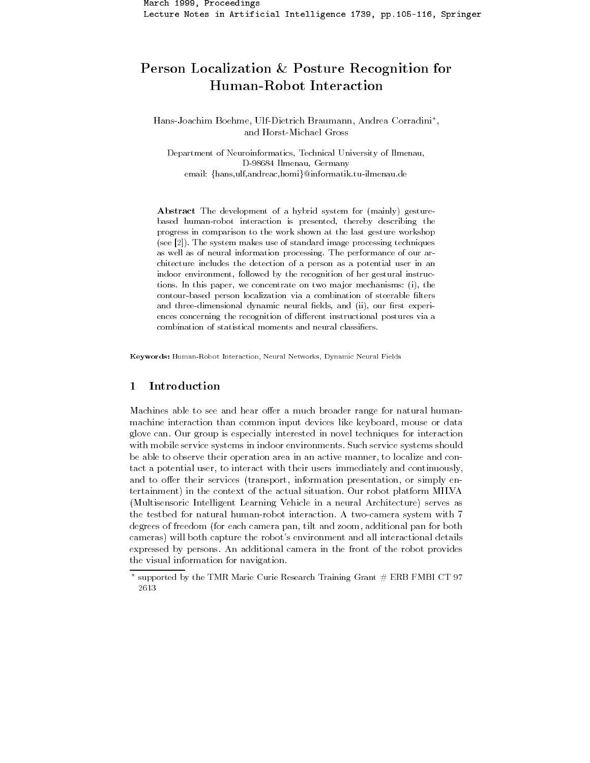# Person Localization & Posture Recognition for Human-Robot Interaction

Hans-Joachim Boehme, Ulf-Dietrich Braumann, Andrea Corradini\*, and Horst-Michael Gross

Department of Neuroinformatics, Technical University of Ilmenau, D-98684 Ilmenau, Germany email: {hans,ulf,andreac,homi}@informatik.tu-ilmenau.de

Abstract The development of a hybrid system for (mainly) gesturebased human-robot interaction is presented, thereby describing the progress in comparison to the work shown at the last gesture workshop (see  $[2]$ ). The system makes use of standard image processing techniques as well as of neural information processing. The performance of our architecture includes the detection of a person as a potential user in an indoor environment, followed by the recognition of her gestural instructions. In this paper, we concentrate on two major mechanisms: (i), the contour-based person localization via a combination of steerable filters and three-dimensional dynamic neural fields, and (ii), our first experiences concerning the recognition of different instructional postures via a combination of statistical moments and neural classifiers.

Keywords: Human-Robot Interaction, Neural Networks, Dynamic Neural Fields

# $\mathbf{1}$ Introduction

Machines able to see and hear offer a much broader range for natural humanmachine interaction than common input devices like keyboard, mouse or data glove can. Our group is especially interested in novel techniques for interaction with mobile service systems in indoor environments. Such service systems should be able to observe their operation area in an active manner, to localize and contact a potential user, to interact with their users immediately and continuously, and to offer their services (transport, information presentation, or simply entertainment) in the context of the actual situation. Our robot platform MILVA (Multisensoric Intelligent Learning Vehicle in a neural Architecture) serves as the testbed for natural human-robot interaction. A two-camera system with 7 degrees of freedom (for each camera pan, tilt and zoom, additional pan for both cameras) will both capture the robot's environment and all interactional details expressed by persons. An additional camera in the front of the robot provides the visual information for navigation.

supported by the TMR Marie Curie Research Training Grant # ERB FMBI CT 97 2613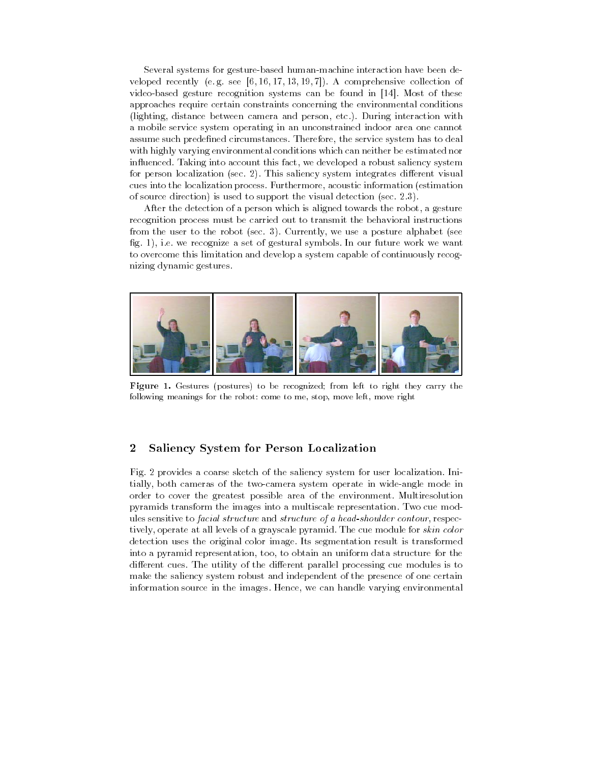Several systems for gesture-based human-machine interaction have been developed recently (e.g. see [6, 16, 17, 13, 19, 7]). A comprehensive collection of video-based gesture recognition systems can be found in [14]. Most of these approaches require certain constraints concerning the environmental conditions (lighting, distance between camera and person, etc.). During interaction with a mobile service system operating in an unconstrained indoor area one cannot assume such predefined circumstances. Therefore, the service system has to deal with highly varying environmental conditions which can neither be estimated nor influenced. Taking into account this fact, we developed a robust saliency system for person localization (sec. 2). This saliency system integrates different visual cues into the localization process. Furthermore, acoustic information (estimation of source direction) is used to support the visual detection (sec.  $2.3$ ).

After the detection of a person which is aligned towards the robot, a gesture recognition process must be carried out to transmit the behavioral instructions from the user to the robot (sec. 3). Currently, we use a posture alphabet (see fig. 1), i.e. we recognize a set of gestural symbols. In our future work we want to overcome this limitation and develop a system capable of continuously recognizing dynamic gestures.



Figure 1. Gestures (postures) to be recognized; from left to right they carry the following meanings for the robot: come to me, stop, move left, move right

### Saliency System for Person Localization  $\boldsymbol{2}$

Fig. 2 provides a coarse sketch of the saliency system for user localization. Initially, both cameras of the two-camera system operate in wide-angle mode in order to cover the greatest possible area of the environment. Multiresolution pyramids transform the images into a multiscale representation. Two cue modules sensitive to facial structure and structure of a head-shoulder contour, respectively, operate at all levels of a grayscale pyramid. The cue module for skin color detection uses the original color image. Its segmentation result is transformed into a pyramid representation, too, to obtain an uniform data structure for the different cues. The utility of the different parallel processing cue modules is to make the saliency system robust and independent of the presence of one certain information source in the images. Hence, we can handle varying environmental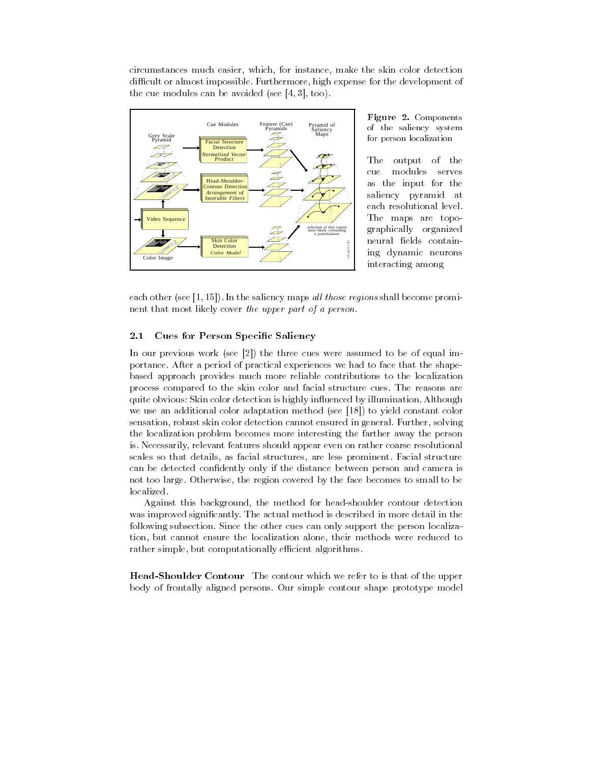the contract of the contract of the contract of the contract of the contract of the contract of the contract of where the contract of the contract of the the contract of the contract of the contract of the the control of the control of the control of circumstances much easier, which, for instance, make the skin color detection the contract of the contract of the contract of the contract of the contract of the contract of the contract of " ; 

 difficult or almost impossible. Furthermore, high expense for the development of the cue modules can be avoided (see  $[4, 3]$ , too).



 $\mathbf{1.5}$  at  $\circ$   $\mathbf{1.5}$   $\circ$   $\circ$   $\mathbf{1.5}$   $\circ$   $\mathbf{1.5}$   $\circ$  - 
- -  $\cdots$   $\cdots$   $\cdots$ 

The output of the modules serves cue the contract of the contract of the contract of the contract of the contract of the contract of the contract of the contract of the contract of the contract of the contract of the contract of the contract of the contract of - ! !- some state of the state of the state of the state of the state of the state of the state of the state of the state of the state of the state of the state of the state of the state of the state of the state of the state of graphically organized !- - -

 $\alpha$  . The contract  $\alpha$  is the same  $\alpha$  in the same  $\alpha$  is the contract of  $\alpha$  is the same prominer  $\alpha$  
 (

 02 2=5)" + 
 -! the contract of the contract of the contract of the contract of the contract of the contract of the contract of the contract of the contract of the contract of the contract of the contract of the contract of the contract of  $\frac{1}{2}$  cover the apper part of a person.

# 

 $\frac{1}{1}$  (  $\frac{1}{1}$  ) (  $\frac{1}{1}$  ) (  $\frac{1}{1}$  ) (  $\frac{1}{1}$  ) (  $\frac{1}{1}$  ) (  $\frac{1}{1}$  ) (  $\frac{1}{1}$  ) (  $\frac{1}{1}$  ) (  $\frac{1}{1}$  ) (  $\frac{1}{1}$  ) (  $\frac{1}{1}$  ) (  $\frac{1}{1}$  ) (  $\frac{1}{1}$  ) (  $\frac{1}{1}$  ) (  $\frac{1}{1}$  ) ( In our previous work (see  $[2]$ ) the three cues were assumed to be of equal im--" 
 - - - 
\* %
 - - - 
 based approach provides much more reliable contributions to the localization the contract of the contract of the contract of the contract of the contract of the contract of the contract of - $\mathbf{a}$  . The contract of the contract of the contract of the contract of the contract of the contract of  $\mathbf{c}$ <u>the contract of the contract of the contract of the contract of the contract of the contract of the contract of the contract of the contract of the contract of the contract of the contract of the contract of the contract </u>  $\sim$   $\sim$  $\sim$   $\sim$   $\sim$   $\sim$ the state of the state of the state of the state of the state of the state of the state of the state of the state of the state of the state of the state of the state of the state of the state of the state of the state of t -- the contract of the contract of the contract of the contract of the contract of the contract of the contract of 
 (

 02?5) ! the contract of the contract of the contract of the contract of the contract of the contract of 

-" ; 
 the localization problem becomes more interesting the farther away the person  $\mathbf{F}$   $\mathbf{F}$  $\mathbf{r} = \mathbf{r} \cdot \mathbf{r}$  , and the set of the set of the set of the set of the set of the set of the set of the set of the set of the set of the set of the set of the set of the set of the set of the set of the set of the  $\mathbf{r}$  is the state of the state of the state of the state of the state of the state of the state of the state of the state of the state of the state of the state of the state of the state of the state of the state of t -" # 
% 

 ! 
 - 

 localized.

 $\Theta$  , and  $\Theta$  , and  $\Theta$  , and  $\Theta$  , and  $\Theta$  , and  $\Theta$  , and  $\Theta$  , and  $\Theta$  , and  $\Theta$  , and  $\Theta$  , and  $\Theta$  , and  $\Theta$  , and  $\Theta$  , and  $\Theta$  , and  $\Theta$  , and  $\Theta$  , and  $\Theta$  , and  $\Theta$  , and  $\Theta$  , and  $\Theta$  , and  $\blacksquare$   $\blacksquare$   $\blacksquare$   $\blacksquare$   $\blacksquare$   $\blacksquare$   $\blacksquare$   $\blacksquare$   $\blacksquare$   $\blacksquare$   $\blacksquare$   $\blacksquare$   $\blacksquare$   $\blacksquare$   $\blacksquare$   $\blacksquare$   $\blacksquare$   $\blacksquare$   $\blacksquare$   $\blacksquare$   $\blacksquare$   $\blacksquare$   $\blacksquare$   $\blacksquare$   $\blacksquare$   $\blacksquare$   $\blacksquare$   $\blacksquare$   $\blacksquare$   $\blacksquare$   $\blacksquare$   $\blacks$  $\sim$   $\sim$   $\sim$   $\sim$   $\sim$   $\sim$  $\mathbf{v}$  is a set of  $\mathbf{v}$ zathe contract of the contract of the contract of the contract of the contract of the contract of the contract of zation alone, their methods were reduced to the contract of the contract of the the contract of the contract of the contract of the contract of the contract of the contract of the contract of the contract of the contract of the contract of the contract of the contract of the contract of the contract of the contract of the contract of the contract o the contract of the contract of the contract of the contract of the contract of the contract of the contract of **Example 2008**  - rather simple, but computationally efficient algorithms.

rical shoulder contour the contour affich as follow to have or the apport ! -! - 
" #  $\frac{1}{2}$  -  $\frac{1}{2}$  -  $\frac{1}{2}$  -  $\frac{1}{2}$  -  $\frac{1}{2}$  -  $\frac{1}{2}$  -  $\frac{1}{2}$ !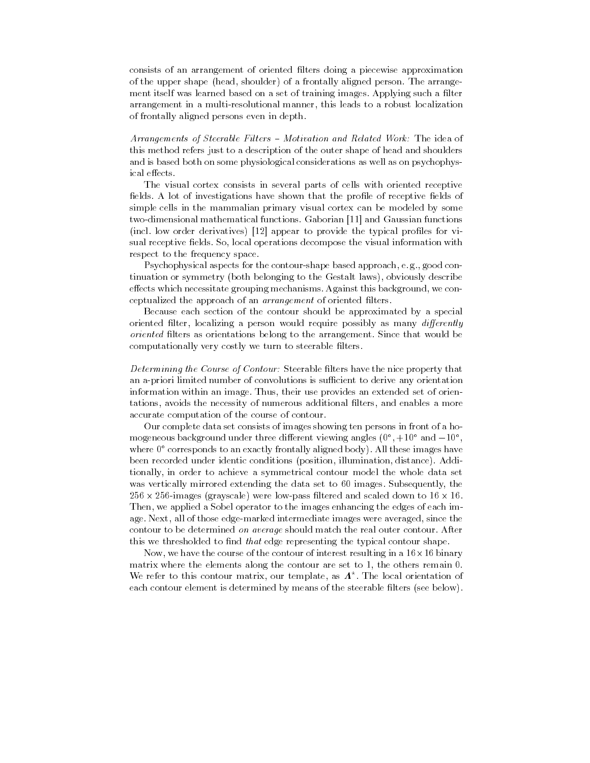consists of an arrangement of oriented filters doing a piecewise approximation of the upper shape (head, shoulder) of a frontally aligned person. The arrangement itself was learned based on a set of training images. Applying such a filter arrangement in a multi-resolutional manner, this leads to a robust localization of frontally aligned persons even in depth.

Arrangements of Steerable Filters - Motivation and Related Work: The idea of this method refers just to a description of the outer shape of head and shoulders and is based both on some physiological considerations as well as on psychophysical effects.

The visual cortex consists in several parts of cells with oriented receptive fields. A lot of investigations have shown that the profile of receptive fields of simple cells in the mammalian primary visual cortex can be modeled by some two-dimensional mathematical functions. Gaborian [11] and Gaussian functions (incl. low order derivatives) [12] appear to provide the typical profiles for visual receptive fields. So, local operations decompose the visual information with respect to the frequency space.

Psychophysical aspects for the contour-shape based approach, e.g., good continuation or symmetry (both belonging to the Gestalt laws), obviously describe effects which necessitate grouping mechanisms. Against this background, we conceptualized the approach of an *arrangement* of oriented filters.

Because each section of the contour should be approximated by a special oriented filter, localizing a person would require possibly as many differently oriented filters as orientations belong to the arrangement. Since that would be computationally very costly we turn to steerable filters.

Determining the Course of Contour: Steerable filters have the nice property that an a-priori limited number of convolutions is sufficient to derive any orientation information within an image. Thus, their use provides an extended set of orientations, avoids the necessity of numerous additional filters, and enables a more accurate computation of the course of contour.

Our complete data set consists of images showing ten persons in front of a homogeneous background under three different viewing angles  $(0^{\circ}, +10^{\circ}$  and  $-10^{\circ}$ . where 0° corresponds to an exactly frontally aligned body). All these images have been recorded under identic conditions (position, illumination, distance). Additionally, in order to achieve a symmetrical contour model the whole data set was vertically mirrored extending the data set to 60 images. Subsequently, the  $256 \times 256$ -images (grayscale) were low-pass filtered and scaled down to  $16 \times 16$ . Then, we applied a Sobel operator to the images enhancing the edges of each image. Next, all of those edge-marked intermediate images were averaged, since the contour to be determined on average should match the real outer contour. After this we thresholded to find *that* edge representing the typical contour shape.

Now, we have the course of the contour of interest resulting in a  $16 \times 16$  binary matrix where the elements along the contour are set to 1, the others remain 0. We refer to this contour matrix, our template, as  $\Lambda^*$ . The local orientation of each contour element is determined by means of the steerable filters (see below).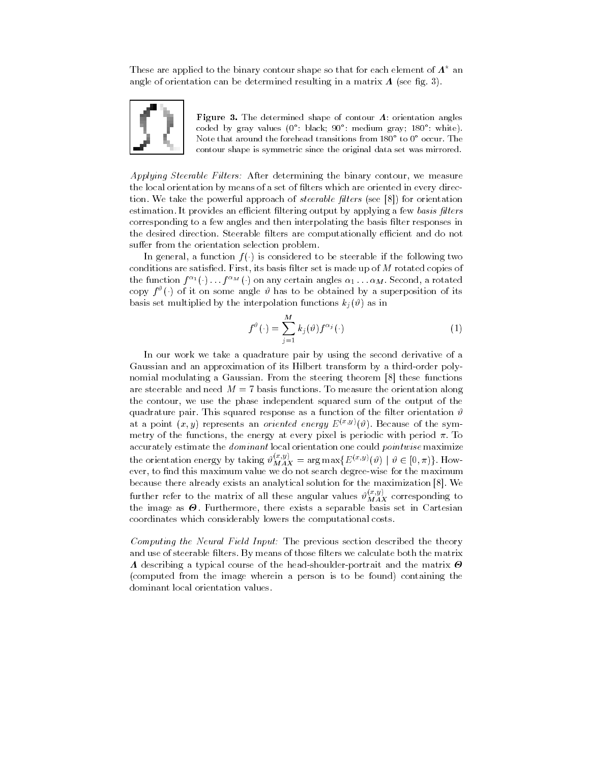These are applied to the binary contour shape so that for each element of  $\Lambda^*$  and angle of orientation can be determined resulting in a matrix  $\boldsymbol{\Lambda}$  (see fig. 3).



Figure 3. The determined shape of contour  $\Lambda$ : orientation angles coded by gray values (0°: black; 90°: medium gray; 180°: white). Note that around the forehead transitions from 180° to 0° occur. The contour shape is symmetric since the original data set was mirrored.

Applying Steerable Filters: After determining the binary contour, we measure the local orientation by means of a set of filters which are oriented in every direction. We take the powerful approach of *steerable filters* (see [8]) for orientation estimation. It provides an efficient filtering output by applying a few basis filters corresponding to a few angles and then interpolating the basis filter responses in the desired direction. Steerable filters are computationally efficient and do not suffer from the orientation selection problem.

In general, a function  $f(.)$  is considered to be steerable if the following two conditions are satisfied. First, its basis filter set is made up of  $M$  rotated copies of the function  $f^{\alpha_1}(\cdot) \ldots f^{\alpha_M}(\cdot)$  on any certain angles  $\alpha_1 \ldots \alpha_M$ . Second, a rotated copy  $f^{\vartheta}(\cdot)$  of it on some angle  $\vartheta$  has to be obtained by a superposition of its basis set multiplied by the interpolation functions  $k_i(\theta)$  as in

$$
f^{\vartheta}(\cdot) = \sum_{j=1}^{M} k_j(\vartheta) f^{\alpha_j}(\cdot)
$$
 (1)

In our work we take a quadrature pair by using the second derivative of a Gaussian and an approximation of its Hilbert transform by a third-order polynomial modulating a Gaussian. From the steering theorem [8] these functions are steerable and need  $M = 7$  basis functions. To measure the orientation along the contour, we use the phase independent squared sum of the output of the quadrature pair. This squared response as a function of the filter orientation  $\vartheta$ at a point  $(x, y)$  represents an *oriented energy*  $E^{(x,y)}(\vartheta)$ . Because of the symmetry of the functions, the energy at every pixel is periodic with period  $\pi$ . To accurately estimate the *dominant* local orientation one could *pointwise* maximize<br>the orientation energy by taking  $\vartheta_{MAX}^{(x,y)} = \arg \max \{ E^{(x,y)}(\vartheta) \mid \vartheta \in [0,\pi) \}$ . How-<br>ever, to find this maximum value we do not search deg because there already exists an analytical solution for the maximization [8]. We further refer to the matrix of all these angular values  $\vartheta_{MAX}^{(x,y)}$  corresponding to the image as  $\Theta$ . Furthermore, there exists a separable basis set in Cartesian coordinates which considerably lowers the computational costs.

Computing the Neural Field Input: The previous section described the theory and use of steerable filters. By means of those filters we calculate both the matrix **A** describing a typical course of the head-shoulder-portrait and the matrix  $\Theta$ (computed from the image wherein a person is to be found) containing the dominant local orientation values.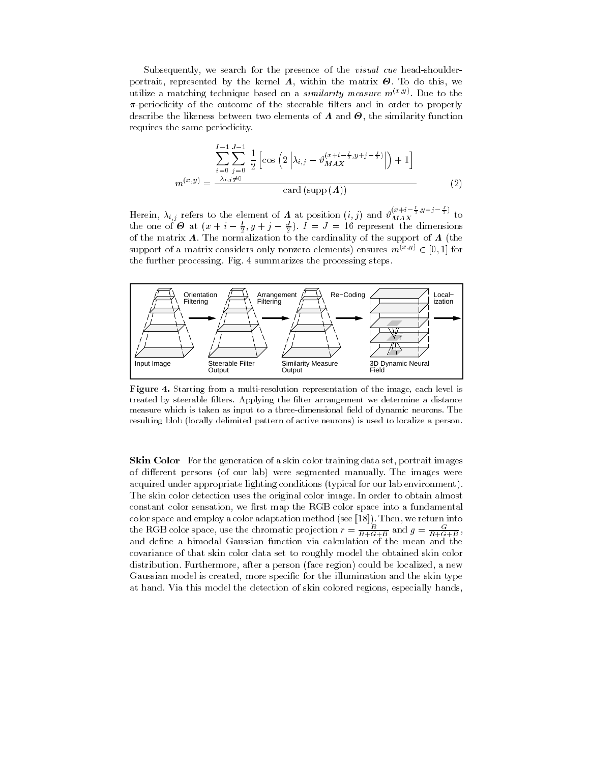Subsequently, we search for the presence of the *visual cue* head-shoulderportrait, represented by the kernel  $\Lambda$ , within the matrix  $\Theta$ . To do this, we utilize a matching technique based on a *similarity measure*  $m^{(x,y)}$ . Due to the  $\pi$ -periodicity of the outcome of the steerable filters and in order to properly describe the likeness between two elements of  $\Lambda$  and  $\Theta$ , the similarity function requires the same periodicity.

$$
\sum_{i=0}^{I-1} \sum_{j=0}^{J-1} \frac{1}{2} \left[ \cos \left( 2 \left| \lambda_{i,j} - \vartheta_{MAX}^{(x+i-\frac{I}{2},y+j-\frac{J}{2})} \right| \right) + 1 \right]
$$
  

$$
m^{(x,y)} = \frac{\lambda_{i,j} \neq 0}{\lambda_{i,j} \neq 0}
$$
card (supp (**A**)) (2)

Herein,  $\lambda_{i,j}$  refers to the element of  $\Lambda$  at position  $(i, j)$  and  $\vartheta_{MAX}^{(x+i-\frac{I}{2},y+j-\frac{J}{2})}$  to the one of  $\Theta$  at  $(x+i-\frac{I}{2},y+j-\frac{J}{2})$ .  $I = J = 16$  represent the dimensions of the matrix  $\Lambda$ . The normalization to t support of a matrix considers only nonzero elements) ensures  $m^{(x,y)} \in [0,1]$  for the further processing. Fig. 4 summarizes the processing steps.



Figure 4. Starting from a multi-resolution representation of the image, each level is treated by steerable filters. Applying the filter arrangement we determine a distance measure which is taken as input to a three-dimensional field of dynamic neurons. The resulting blob (locally delimited pattern of active neurons) is used to localize a person.

Skin Color For the generation of a skin color training data set, portrait images of different persons (of our lab) were segmented manually. The images were acquired under appropriate lighting conditions (typical for our lab environment). The skin color detection uses the original color image. In order to obtain almost constant color sensation, we first map the RGB color space into a fundamental color space and employ a color adaptation method (see [18]). Then, we return into the RGB color space, use the chromatic projection  $r = \frac{R}{R+G+B}$  and  $g = \frac{G}{R+G+B}$ . and define a bimodal Gaussian function via calculation of the mean and the covariance of that skin color data set to roughly model the obtained skin color distribution. Furthermore, after a person (face region) could be localized, a new Gaussian model is created, more specific for the illumination and the skin type at hand. Via this model the detection of skin colored regions, especially hands,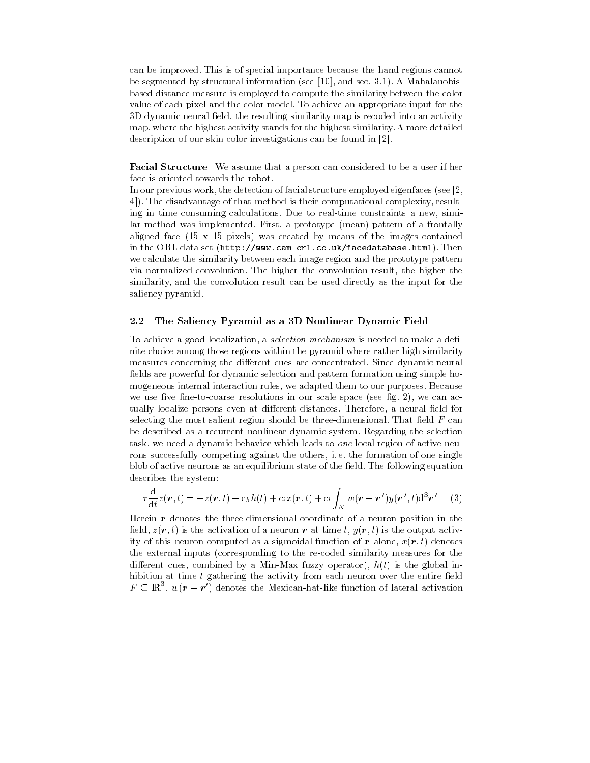can be improved. This is of special importance because the hand regions cannot be segmented by structural information (see [10], and sec. 3.1). A Mahalanobisbased distance measure is employed to compute the similarity between the color value of each pixel and the color model. To achieve an appropriate input for the 3D dynamic neural field, the resulting similarity map is recoded into an activity map, where the highest activity stands for the highest similarity. A more detailed description of our skin color investigations can be found in [2].

**Facial Structure** We assume that a person can considered to be a user if her face is oriented towards the robot.

In our previous work, the detection of facial structure employed eigenfaces (see [2, 4]). The disadvantage of that method is their computational complexity, resulting in time consuming calculations. Due to real-time constraints a new, similar method was implemented. First, a prototype (mean) pattern of a frontally aligned face  $(15 \times 15)$  pixels) was created by means of the images contained in the ORL data set (http://www.cam-orl.co.uk/facedatabase.html). Then we calculate the similarity between each image region and the prototype pattern via normalized convolution. The higher the convolution result, the higher the similarity, and the convolution result can be used directly as the input for the saliency pyramid.

#### The Saliency Pyramid as a 3D Nonlinear Dynamic Field  $2.2$

To achieve a good localization, a selection mechanism is needed to make a definite choice among those regions within the pyramid where rather high similarity measures concerning the different cues are concentrated. Since dynamic neural fields are powerful for dynamic selection and pattern formation using simple homogeneous internal interaction rules, we adapted them to our purposes. Because we use five fine-to-coarse resolutions in our scale space (see fig. 2), we can actually localize persons even at different distances. Therefore, a neural field for selecting the most salient region should be three-dimensional. That field  $F$  can be described as a recurrent nonlinear dynamic system. Regarding the selection task, we need a dynamic behavior which leads to one local region of active neurons successfully competing against the others, i.e. the formation of one single blob of active neurons as an equilibrium state of the field. The following equation describes the system:

$$
\tau \frac{\mathrm{d}}{\mathrm{d}t} z(\mathbf{r},t) = -z(\mathbf{r},t) - c_h h(t) + c_i x(\mathbf{r},t) + c_l \int_N w(\mathbf{r}-\mathbf{r}')y(\mathbf{r}',t) \mathrm{d}^3 \mathbf{r}' \qquad (3)
$$

Herein  $\boldsymbol{r}$  denotes the three-dimensional coordinate of a neuron position in the field,  $z(\mathbf{r},t)$  is the activation of a neuron  $\mathbf{r}$  at time t,  $y(\mathbf{r},t)$  is the output activity of this neuron computed as a sigmoidal function of r alone,  $x(r, t)$  denotes the external inputs (corresponding to the re-coded similarity measures for the different cues, combined by a Min-Max fuzzy operator),  $h(t)$  is the global inhibition at time  $t$  gathering the activity from each neuron over the entire field  $F \subseteq \mathbb{R}^3$ .  $w(\mathbf{r} - \mathbf{r}')$  denotes the Mexican-hat-like function of lateral activation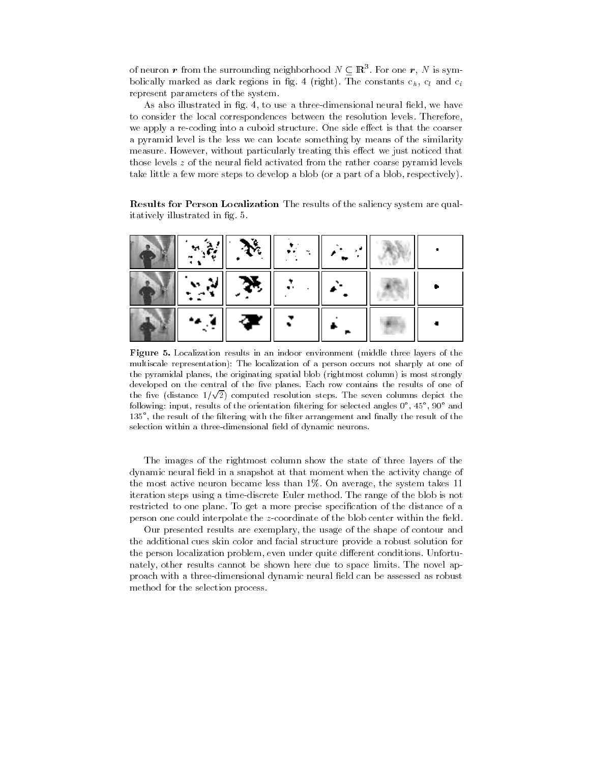of neuron r from the surrounding neighborhood  $N \subset \mathbb{R}^3$ . For one r, N is symbolically marked as dark regions in fig. 4 (right). The constants  $c_h$ ,  $c_l$  and  $c_i$ represent parameters of the system.

As also illustrated in fig. 4, to use a three-dimensional neural field, we have to consider the local correspondences between the resolution levels. Therefore, we apply a re-coding into a cuboid structure. One side effect is that the coarser a pyramid level is the less we can locate something by means of the similarity measure. However, without particularly treating this effect we just noticed that those levels z of the neural field activated from the rather coarse pyramid levels take little a few more steps to develop a blob (or a part of a blob, respectively).

**Results for Person Localization** The results of the saliency system are qualitatively illustrated in fig. 5.

|      | $\cdot^{\alpha}$ |  |  |
|------|------------------|--|--|
|      | ्रका             |  |  |
| 14 A | $\mathbf{P}$ ,   |  |  |

**Figure 5.** Localization results in an indoor environment (middle three layers of the multiscale representation): The localization of a person occurs not sharply at one of the pyramidal planes, the originating spatial blob (rightmost column) is most strongly developed on the central of the five planes. Each row contains the results of one of the five (distance  $1/\sqrt{2}$ ) computed resolution steps. The seven columns depict the following: input, results of the orientation filtering for selected angles  $0^{\circ}$ ,  $45^{\circ}$ ,  $90^{\circ}$  and 135°, the result of the filtering with the filter arrangement and finally the result of the selection within a three-dimensional field of dynamic neurons.

The images of the rightmost column show the state of three layers of the dynamic neural field in a snapshot at that moment when the activity change of the most active neuron became less than 1%. On average, the system takes 11 iteration steps using a time-discrete Euler method. The range of the blob is not restricted to one plane. To get a more precise specification of the distance of a person one could interpolate the z-coordinate of the blob center within the field.

Our presented results are exemplary, the usage of the shape of contour and the additional cues skin color and facial structure provide a robust solution for the person localization problem, even under quite different conditions. Unfortunately, other results cannot be shown here due to space limits. The novel approach with a three-dimensional dynamic neural field can be assessed as robust method for the selection process.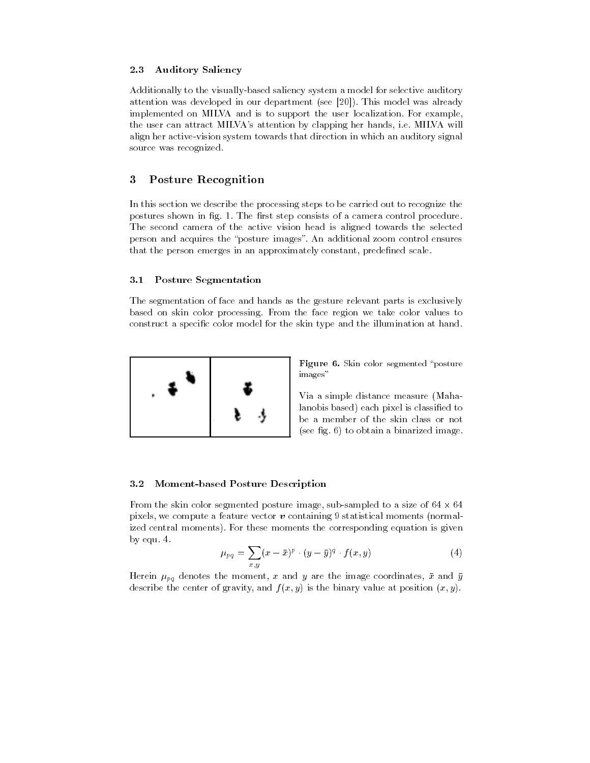### 2.3 **Auditory Saliency**

Additionally to the visually-based saliency system a model for selective auditory attention was developed in our department (see [20]). This model was already implemented on MILVA and is to support the user localization. For example, the user can attract MILVA's attention by clapping her hands, i.e. MILVA will align her active-vision system towards that direction in which an auditory signal source was recognized.

# 3 **Posture Recognition**

In this section we describe the processing steps to be carried out to recognize the postures shown in fig. 1. The first step consists of a camera control procedure. The second camera of the active vision head is aligned towards the selected person and acquires the "posture images". An additional zoom control ensures that the person emerges in an approximately constant, predefined scale.

### **Posture Segmentation** 3.1

The segmentation of face and hands as the gesture relevant parts is exclusively based on skin color processing. From the face region we take color values to construct a specific color model for the skin type and the illumination at hand.



Figure 6. Skin color segmented "posture" images"

Via a simple distance measure (Mahalanobis based) each pixel is classified to be a member of the skin class or not (see fig.  $6$ ) to obtain a binarized image.

#### 3.2 **Moment-based Posture Description**

From the skin color segmented posture image, sub-sampled to a size of  $64 \times 64$ pixels, we compute a feature vector  $\boldsymbol{v}$  containing 9 statistical moments (normalized central moments). For these moments the corresponding equation is given by equ. 4.

$$
\mu_{pq} = \sum_{x,y} (x - \bar{x})^p \cdot (y - \bar{y})^q \cdot f(x,y) \tag{4}
$$

Herein  $\mu_{pq}$  denotes the moment, x and y are the image coordinates,  $\bar{x}$  and  $\bar{y}$ describe the center of gravity, and  $f(x, y)$  is the binary value at position  $(x, y)$ .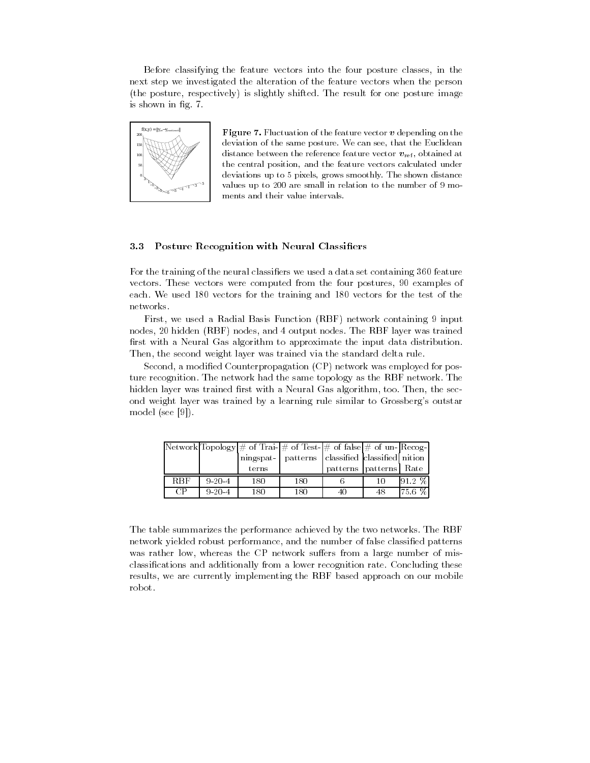Before classifying the feature vectors into the four posture classes, in the next step we investigated the alteration of the feature vectors when the person (the posture, respectively) is slightly shifted. The result for one posture image is shown in fig. 7.



**Figure 7.** Fluctuation of the feature vector  $v$  depending on the deviation of the same posture. We can see, that the Euclidean distance between the reference feature vector  $v_{\text{ref}}$ , obtained at the central position, and the feature vectors calculated under deviations up to 5 pixels, grows smoothly. The shown distance values up to 200 are small in relation to the number of 9 moments and their value intervals.

#### 3.3 **Posture Recognition with Neural Classifiers**

For the training of the neural classifiers we used a data set containing 360 feature vectors. These vectors were computed from the four postures, 90 examples of each. We used 180 vectors for the training and 180 vectors for the test of the networks.

First, we used a Radial Basis Function (RBF) network containing 9 input nodes, 20 hidden (RBF) nodes, and 4 output nodes. The RBF layer was trained first with a Neural Gas algorithm to approximate the input data distribution. Then, the second weight layer was trained via the standard delta rule.

Second, a modified Counterpropagation (CP) network was employed for posture recognition. The network had the same topology as the RBF network. The hidden layer was trained first with a Neural Gas algorithm, too. Then, the second weight layer was trained by a learning rule similar to Grossberg's outstar model (see  $[9]$ ).

|            |              |       | $\vert$ Network $\vert$ Topology $\vert \#$ of Trai- $\vert \#$ of Test- $\vert \#$ of false $\vert \#$ of un-Recog- |                        |    |           |
|------------|--------------|-------|----------------------------------------------------------------------------------------------------------------------|------------------------|----|-----------|
|            |              |       | ningspat- patterns classified classified nition                                                                      |                        |    |           |
|            |              | terns |                                                                                                                      | patterns patterns Rate |    |           |
| <b>RBF</b> | $9 - 20 - 4$ | 180   | 180                                                                                                                  |                        |    | $91.2 \%$ |
| CP         | $9 - 20 - 4$ | 180   | 180                                                                                                                  | 40                     | 48 | 75.6 %    |

The table summarizes the performance achieved by the two networks. The RBF network yielded robust performance, and the number of false classified patterns was rather low, whereas the CP network suffers from a large number of misclassifications and additionally from a lower recognition rate. Concluding these results, we are currently implementing the RBF based approach on our mobile robot.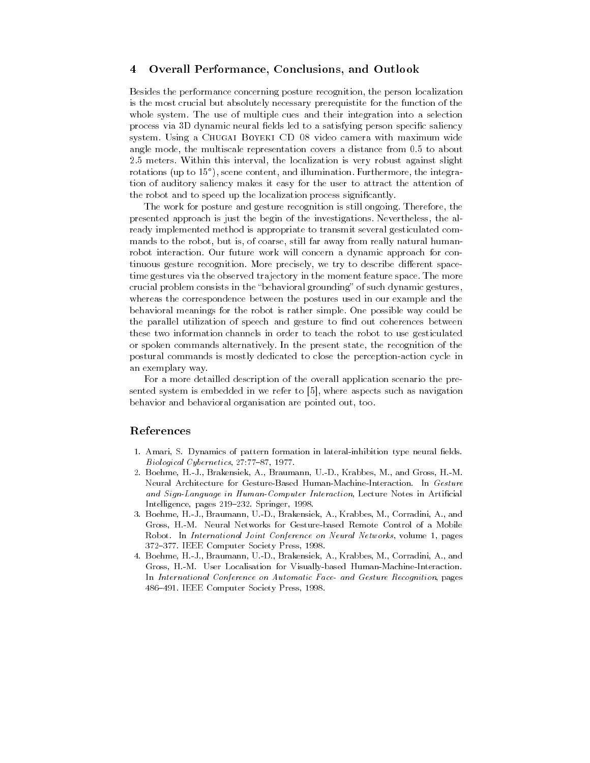# Overall Performance, Conclusions, and Outlook  $\overline{\mathbf{4}}$

Besides the performance concerning posture recognition, the person localization is the most crucial but absolutely necessary prerequistite for the function of the whole system. The use of multiple cues and their integration into a selection process via 3D dynamic neural fields led to a satisfying person specific saliency system. Using a CHUGAI BOYEKI CD 08 video camera with maximum wide angle mode, the multiscale representation covers a distance from 0.5 to about 2.5 meters. Within this interval, the localization is very robust against slight rotations (up to 15<sup>o</sup>), scene content, and illumination. Furthermore, the integration of auditory saliency makes it easy for the user to attract the attention of the robot and to speed up the localization process significantly.

The work for posture and gesture recognition is still ongoing. Therefore, the presented approach is just the begin of the investigations. Nevertheless, the already implemented method is appropriate to transmit several gesticulated commands to the robot, but is, of coarse, still far away from really natural humanrobot interaction. Our future work will concern a dynamic approach for continuous gesture recognition. More precisely, we try to describe different spacetime gestures via the observed trajectory in the moment feature space. The more crucial problem consists in the "behavioral grounding" of such dynamic gestures, whereas the correspondence between the postures used in our example and the behavioral meanings for the robot is rather simple. One possible way could be the parallel utilization of speech and gesture to find out coherences between these two information channels in order to teach the robot to use gesticulated or spoken commands alternatively. In the present state, the recognition of the postural commands is mostly dedicated to close the perception-action cycle in an exemplary way.

For a more detailled description of the overall application scenario the presented system is embedded in we refer to [5], where aspects such as navigation behavior and behavioral organisation are pointed out, too.

# References

- 1. Amari, S. Dynamics of pattern formation in lateral-inhibition type neural fields. Biological Cybernetics, 27:77-87, 1977.
- 2. Boehme, H.-J., Brakensiek, A., Braumann, U.-D., Krabbes, M., and Gross, H.-M. Neural Architecture for Gesture-Based Human-Machine-Interaction. In Gesture and Sign-Language in Human-Computer Interaction, Lecture Notes in Artificial Intelligence, pages 219-232. Springer, 1998.
- 3. Boehme, H.-J., Braumann, U.-D., Brakensiek, A., Krabbes, M., Corradini, A., and Gross, H.-M. Neural Networks for Gesture-based Remote Control of a Mobile Robot. In International Joint Conference on Neural Networks, volume 1, pages 372-377. IEEE Computer Society Press, 1998.
- 4. Boehme, H.-J., Braumann, U.-D., Brakensiek, A., Krabbes, M., Corradini, A., and Gross, H.-M. User Localisation for Visually-based Human-Machine-Interaction. In International Conference on Automatic Face- and Gesture Recognition, pages 486-491. IEEE Computer Society Press, 1998.